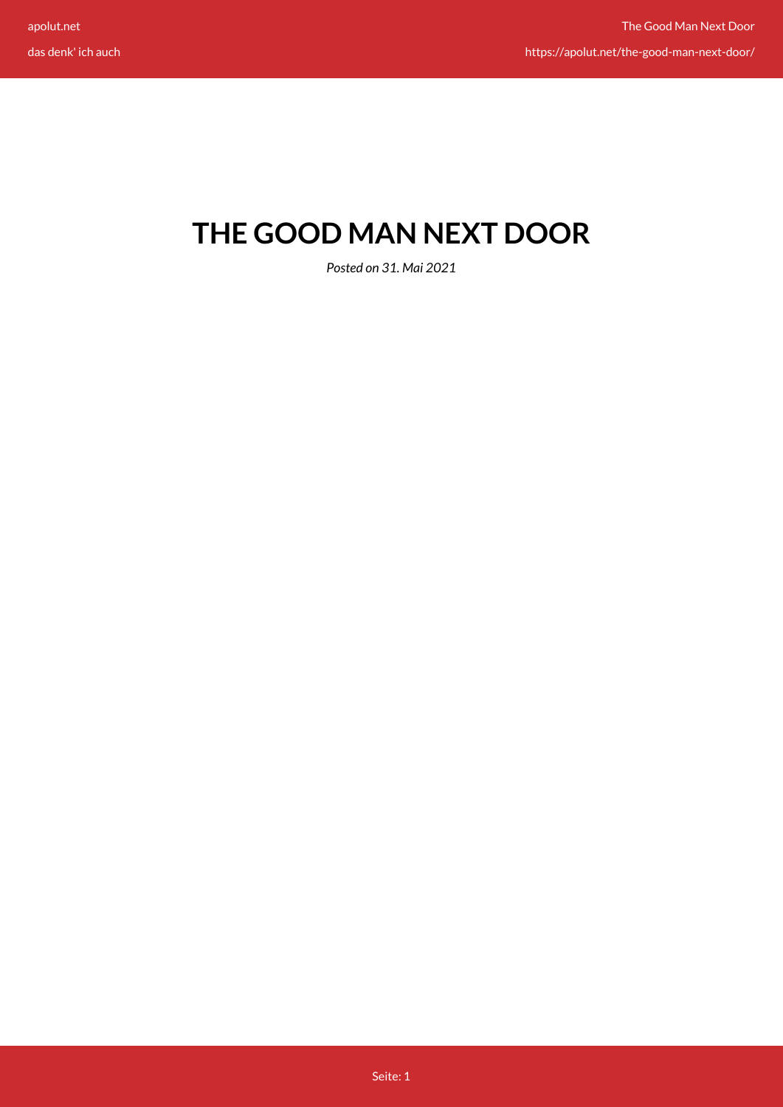# **THE GOOD MAN NEXT DOOR**

*Posted on 31. Mai 2021*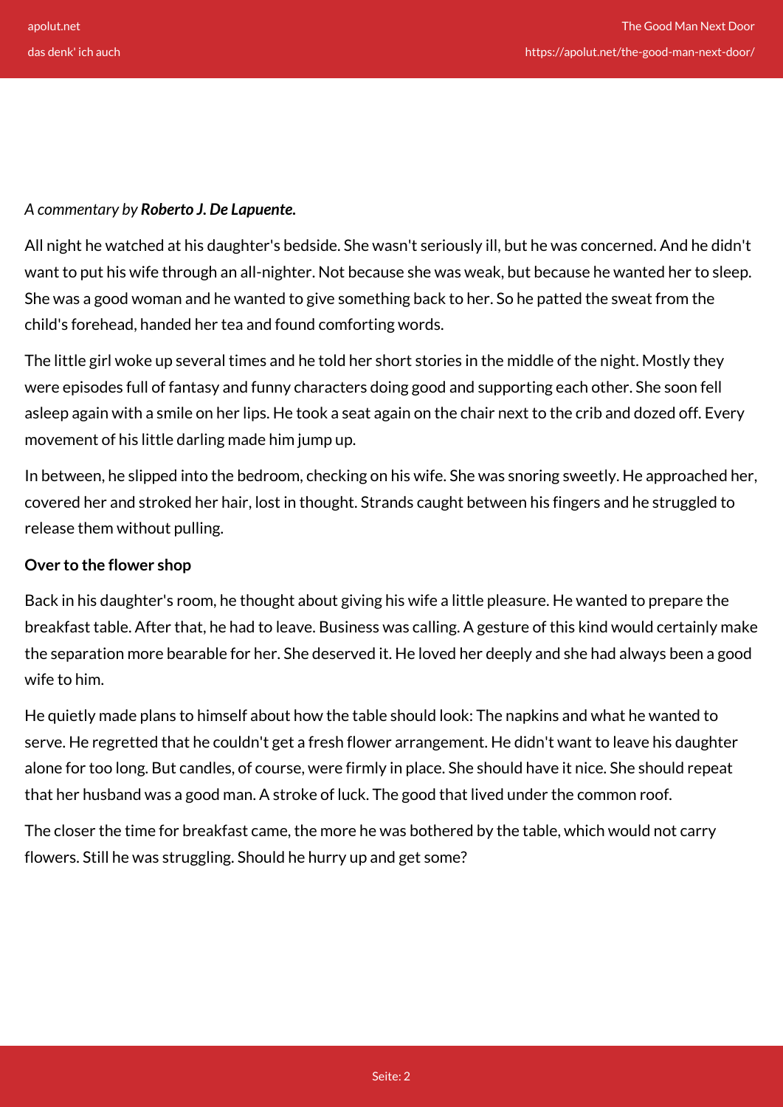### *A commentary by Roberto J. De Lapuente.*

All night he watched at his daughter's bedside. She wasn't seriously ill, but he was concerned. And he didn't want to put his wife through an all-nighter. Not because she was weak, but because he wanted her to sleep. She was a good woman and he wanted to give something back to her. So he patted the sweat from the child's forehead, handed her tea and found comforting words.

The little girl woke up several times and he told her short stories in the middle of the night. Mostly they were episodes full of fantasy and funny characters doing good and supporting each other. She soon fell asleep again with a smile on her lips. He took a seat again on the chair next to the crib and dozed off. Every movement of his little darling made him jump up.

In between, he slipped into the bedroom, checking on his wife. She was snoring sweetly. He approached her, covered her and stroked her hair, lost in thought. Strands caught between his fingers and he struggled to release them without pulling.

## **Over to the flower shop**

Back in his daughter's room, he thought about giving his wife a little pleasure. He wanted to prepare the breakfast table. After that, he had to leave. Business was calling. A gesture of this kind would certainly make the separation more bearable for her. She deserved it. He loved her deeply and she had always been a good wife to him.

He quietly made plans to himself about how the table should look: The napkins and what he wanted to serve. He regretted that he couldn't get a fresh flower arrangement. He didn't want to leave his daughter alone for too long. But candles, of course, were firmly in place. She should have it nice. She should repeat that her husband was a good man. A stroke of luck. The good that lived under the common roof.

The closer the time for breakfast came, the more he was bothered by the table, which would not carry flowers. Still he was struggling. Should he hurry up and get some?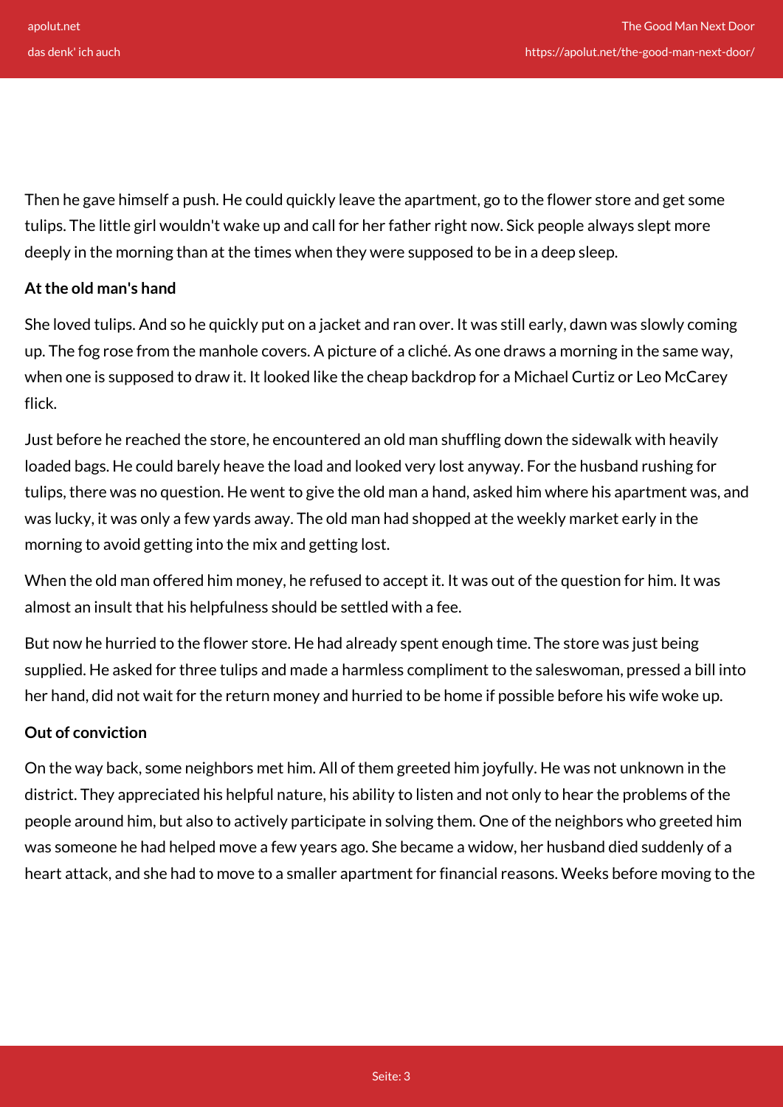Then he gave himself a push. He could quickly leave the apartment, go to the flower store and get some tulips. The little girl wouldn't wake up and call for her father right now. Sick people always slept more deeply in the morning than at the times when they were supposed to be in a deep sleep.

## **At the old man's hand**

She loved tulips. And so he quickly put on a jacket and ran over. It was still early, dawn was slowly coming up. The fog rose from the manhole covers. A picture of a cliché. As one draws a morning in the same way, when one is supposed to draw it. It looked like the cheap backdrop for a Michael Curtiz or Leo McCarey flick.

Just before he reached the store, he encountered an old man shuffling down the sidewalk with heavily loaded bags. He could barely heave the load and looked very lost anyway. For the husband rushing for tulips, there was no question. He went to give the old man a hand, asked him where his apartment was, and was lucky, it was only a few yards away. The old man had shopped at the weekly market early in the morning to avoid getting into the mix and getting lost.

When the old man offered him money, he refused to accept it. It was out of the question for him. It was almost an insult that his helpfulness should be settled with a fee.

But now he hurried to the flower store. He had already spent enough time. The store was just being supplied. He asked for three tulips and made a harmless compliment to the saleswoman, pressed a bill into her hand, did not wait for the return money and hurried to be home if possible before his wife woke up.

#### **Out of conviction**

On the way back, some neighbors met him. All of them greeted him joyfully. He was not unknown in the district. They appreciated his helpful nature, his ability to listen and not only to hear the problems of the people around him, but also to actively participate in solving them. One of the neighbors who greeted him was someone he had helped move a few years ago. She became a widow, her husband died suddenly of a heart attack, and she had to move to a smaller apartment for financial reasons. Weeks before moving to the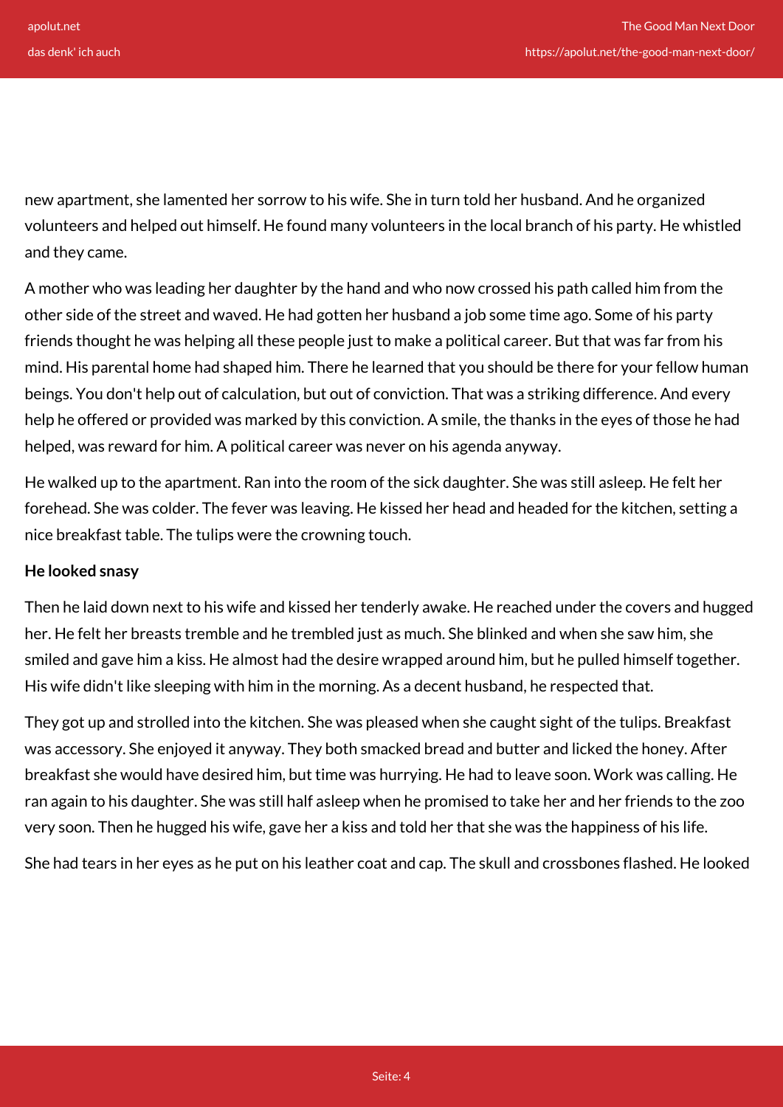new apartment, she lamented her sorrow to his wife. She in turn told her husband. And he organized volunteers and helped out himself. He found many volunteers in the local branch of his party. He whistled and they came.

A mother who was leading her daughter by the hand and who now crossed his path called him from the other side of the street and waved. He had gotten her husband a job some time ago. Some of his party friends thought he was helping all these people just to make a political career. But that was far from his mind. His parental home had shaped him. There he learned that you should be there for your fellow human beings. You don't help out of calculation, but out of conviction. That was a striking difference. And every help he offered or provided was marked by this conviction. A smile, the thanks in the eyes of those he had helped, was reward for him. A political career was never on his agenda anyway.

He walked up to the apartment. Ran into the room of the sick daughter. She was still asleep. He felt her forehead. She was colder. The fever was leaving. He kissed her head and headed for the kitchen, setting a nice breakfast table. The tulips were the crowning touch.

#### **He looked snasy**

Then he laid down next to his wife and kissed her tenderly awake. He reached under the covers and hugged her. He felt her breasts tremble and he trembled just as much. She blinked and when she saw him, she smiled and gave him a kiss. He almost had the desire wrapped around him, but he pulled himself together. His wife didn't like sleeping with him in the morning. As a decent husband, he respected that.

They got up and strolled into the kitchen. She was pleased when she caught sight of the tulips. Breakfast was accessory. She enjoyed it anyway. They both smacked bread and butter and licked the honey. After breakfast she would have desired him, but time was hurrying. He had to leave soon. Work was calling. He ran again to his daughter. She was still half asleep when he promised to take her and her friends to the zoo very soon. Then he hugged his wife, gave her a kiss and told her that she was the happiness of his life.

She had tears in her eyes as he put on his leather coat and cap. The skull and crossbones flashed. He looked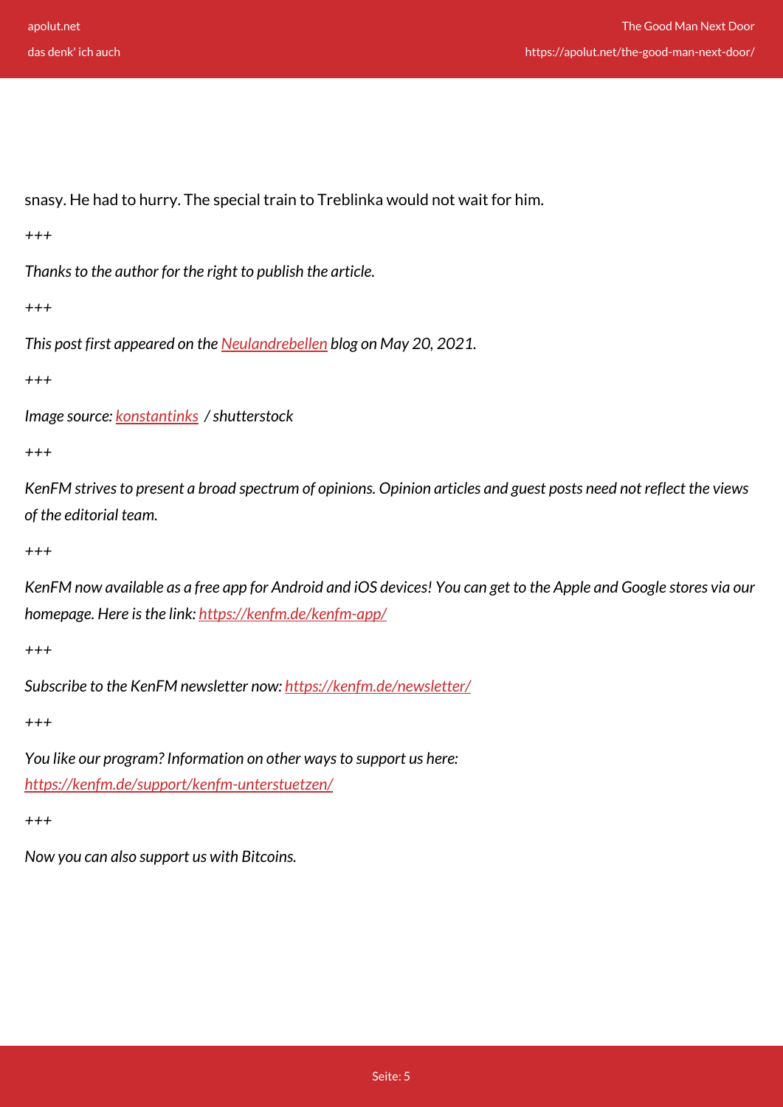snasy. He had to hurry. The special train to Treblinka would not wait for him.

*+++*

*Thanks to the author for the right to publish the article.*

*+++*

*This post first appeared on the [Neulandrebellen](https://www.neulandrebellen.de/2021/05/der-gute-mensch-von-nebenan/) blog on May 20, 2021.*

*+++*

*Image source: [konstantinks](https://www.shutterstock.com/de/g/konstsem) / shutterstock*

*+++*

*KenFM strives to present a broad spectrum of opinions. Opinion articles and guest posts need not reflect the views of the editorial team.*

*+++*

*KenFM now available as a free app for Android and iOS devices! You can get to the Apple and Google stores via our homepage. Here is the link:<https://kenfm.de/kenfm-app/>*

*+++*

*Subscribe to the KenFM newsletter now: <https://kenfm.de/newsletter/>*

*+++*

*You like our program? Information on other ways to support us here: <https://kenfm.de/support/kenfm-unterstuetzen/>*

*+++*

*Now you can also support us with Bitcoins.*